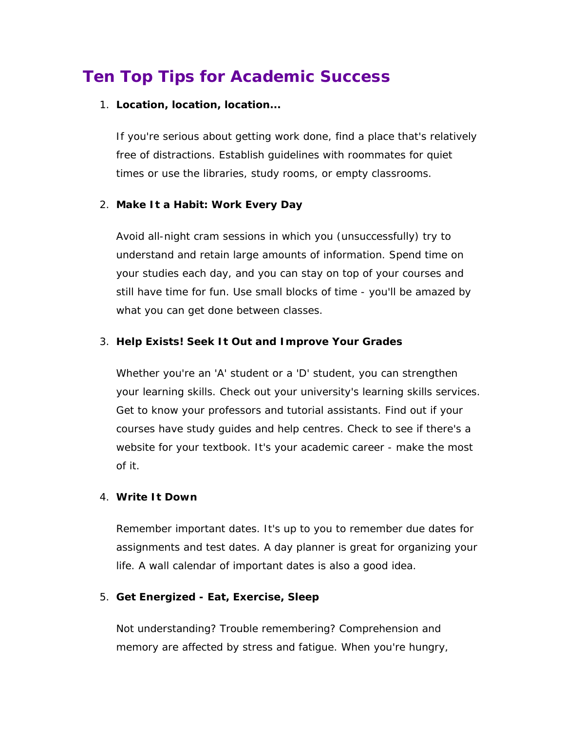# **Ten Top Tips for Academic Success**

#### 1. **Location, location, location...**

If you're serious about getting work done, find a place that's relatively free of distractions. Establish guidelines with roommates for quiet times or use the libraries, study rooms, or empty classrooms.

#### 2. **Make It a Habit: Work Every Day**

Avoid all-night cram sessions in which you (unsuccessfully) try to understand and retain large amounts of information. Spend time on your studies each day, and you can stay on top of your courses and still have time for fun. Use small blocks of time - you'll be amazed by what you can get done between classes.

#### 3. **Help Exists! Seek It Out and Improve Your Grades**

Whether you're an 'A' student or a 'D' student, you can strengthen your learning skills. Check out your university's learning skills services. Get to know your professors and tutorial assistants. Find out if your courses have study guides and help centres. Check to see if there's a website for your textbook. It's your academic career - make the most of it.

#### 4. **Write It Down**

Remember important dates. It's up to you to remember due dates for assignments and test dates. A day planner is great for organizing your life. A wall calendar of important dates is also a good idea.

#### 5. **Get Energized - Eat, Exercise, Sleep**

Not understanding? Trouble remembering? Comprehension and memory are affected by stress and fatigue. When you're hungry,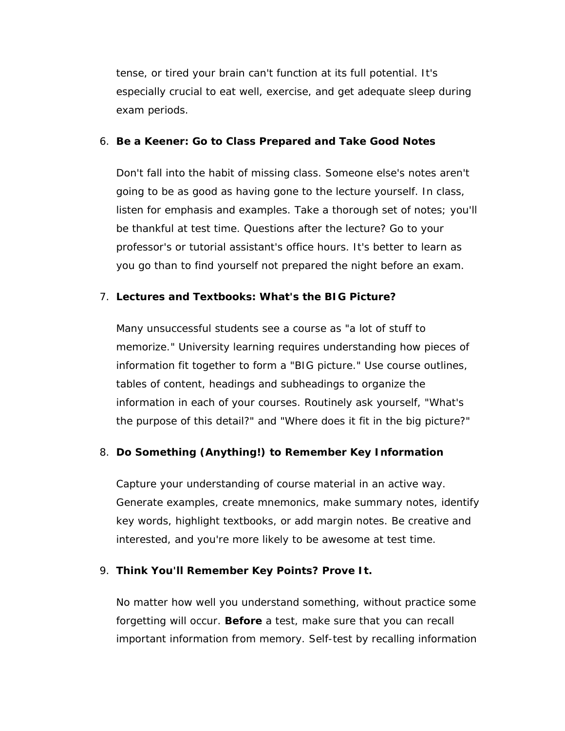tense, or tired your brain can't function at its full potential. It's especially crucial to eat well, exercise, and get adequate sleep during exam periods.

### 6. **Be a Keener: Go to Class Prepared and Take Good Notes**

Don't fall into the habit of missing class. Someone else's notes aren't going to be as good as having gone to the lecture yourself. In class, listen for emphasis and examples. Take a thorough set of notes; you'll be thankful at test time. Questions after the lecture? Go to your professor's or tutorial assistant's office hours. It's better to learn as you go than to find yourself not prepared the night before an exam.

## 7. **Lectures and Textbooks: What's the BIG Picture?**

Many unsuccessful students see a course as "a lot of stuff to memorize." University learning requires understanding how pieces of information fit together to form a "BIG picture." Use course outlines, tables of content, headings and subheadings to organize the information in each of your courses. Routinely ask yourself, "What's the purpose of this detail?" and "Where does it fit in the big picture?"

## 8. **Do Something (Anything!) to Remember Key Information**

Capture your understanding of course material in an active way. Generate examples, create mnemonics, make summary notes, identify key words, highlight textbooks, or add margin notes. Be creative and interested, and you're more likely to be awesome at test time.

## 9. **Think You'll Remember Key Points? Prove It.**

No matter how well you understand something, without practice some forgetting will occur. **Before** a test, make sure that you can recall important information from memory. Self-test by recalling information